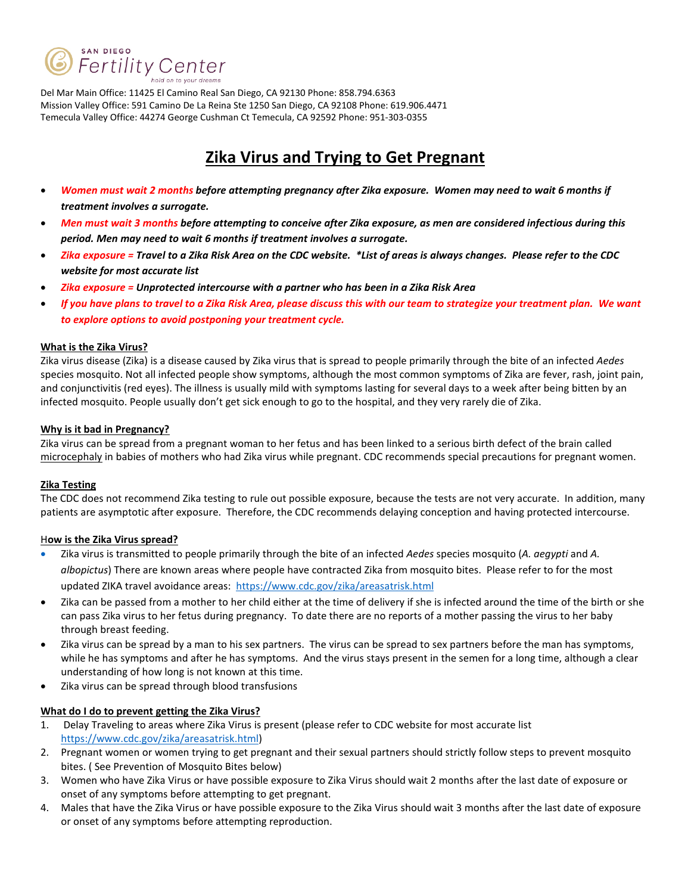

Del Mar Main Office: 11425 El Camino Real San Diego, CA 92130 Phone: 858.794.6363 Mission Valley Office: 591 Camino De La Reina Ste 1250 San Diego, CA 92108 Phone: 619.906.4471 Temecula Valley Office: 44274 George Cushman Ct Temecula, CA 92592 Phone: 951-303-0355

## **Zika Virus and Trying to Get Pregnant**

- *Women must wait 2 months before attempting pregnancy after Zika exposure. Women may need to wait 6 months if treatment involves a surrogate.*
- *Men must wait 3 months before attempting to conceive after Zika exposure, as men are considered infectious during this period. Men may need to wait 6 months if treatment involves a surrogate.*
- *Zika exposure = Travel to a Zika Risk Area on the CDC website. \*List of areas is always changes. Please refer to the CDC website for most accurate list*
- *Zika exposure = Unprotected intercourse with a partner who has been in a Zika Risk Area*
- *If you have plans to travel to a Zika Risk Area, please discuss this with our team to strategize your treatment plan. We want to explore options to avoid postponing your treatment cycle.*

#### **What is the Zika Virus?**

Zika virus disease (Zika) is a disease caused by Zika virus that is spread to people primarily through the bite of an infected *Aedes* species mosquito. Not all infected people show symptoms, although the most common symptoms of Zika are fever, rash, joint pain, and conjunctivitis (red eyes). The illness is usually mild with symptoms lasting for several days to a week after being bitten by an infected mosquito. People usually don't get sick enough to go to the hospital, and they very rarely die of Zika.

#### **Why is it bad in Pregnancy?**

Zika virus can be spread from a pregnant woman to her fetus and has been linked to a serious birth defect of the brain called [microcephaly](http://www.cdc.gov/ncbddd/birthdefects/microcephaly.html) in babies of mothers who had Zika virus while pregnant. CDC recommends special precautions for pregnant women.

### **Zika Testing**

The CDC does not recommend Zika testing to rule out possible exposure, because the tests are not very accurate. In addition, many patients are asymptotic after exposure. Therefore, the CDC recommends delaying conception and having protected intercourse.

### H**ow is the Zika Virus spread?**

- Zika virus is transmitted to people primarily through the bite of an infected *Aedes* species mosquito (*A. aegypti* and *A. albopictus*) There are known areas where people have contracted Zika from mosquito bites. Please refer to for the most updated ZIKA travel avoidance areas: https://www.cdc.gov/zika/areasatrisk.html
- Zika can be passed from a mother to her child either at the time of delivery if she is infected around the time of the birth or she can pass Zika virus to her fetus during pregnancy. To date there are no reports of a mother passing the virus to her baby through breast feeding.
- Zika virus can be spread by a man to his sex partners. The virus can be spread to sex partners before the man has symptoms, while he has symptoms and after he has symptoms. And the virus stays present in the semen for a long time, although a clear understanding of how long is not known at this time.
- Zika virus can be spread through blood transfusions

### **What do I do to prevent getting the Zika Virus?**

- 1. Delay Traveling to areas where Zika Virus is present (please refer to CDC website for most accurate list https://www.cdc.gov/zika/areasatrisk.html)
- 2. Pregnant women or women trying to get pregnant and their sexual partners should strictly follow steps to prevent mosquito bites. ( See Prevention of Mosquito Bites below)
- 3. Women who have Zika Virus or have possible exposure to Zika Virus should wait 2 months after the last date of exposure or onset of any symptoms before attempting to get pregnant.
- 4. Males that have the Zika Virus or have possible exposure to the Zika Virus should wait 3 months after the last date of exposure or onset of any symptoms before attempting reproduction.